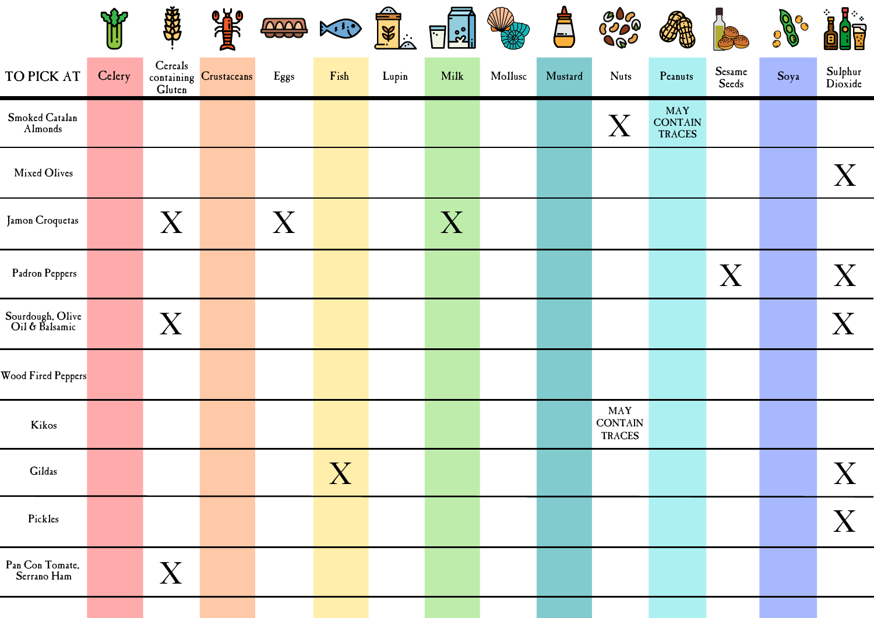|                                    | RY.    | 密                         | 等                      | <b>DOOO</b> | KE                    | $\frac{1}{\sqrt{2}}$ | $\prod$ $\mathbb{S}^{\circ}_{\mathbb{Z}}$ |         | $\overline{\phantom{a}}$ | <b>3000</b><br><b>Ogo</b>       |                                        |                 | $\mathcal{Q}$<br>$\odot$<br>$\mathcal{E}^{\mathcal{O}}$ | $\cdot$ R $_{-}$<br>$\mathbf{B}$<br>È |
|------------------------------------|--------|---------------------------|------------------------|-------------|-----------------------|----------------------|-------------------------------------------|---------|--------------------------|---------------------------------|----------------------------------------|-----------------|---------------------------------------------------------|---------------------------------------|
| TO PICK AT                         | Celery | Cereals<br>${\bf Gluten}$ | containing Crustaceans | Eggs        | Fish                  | Lupin                | Milk                                      | Mollusc | Mustard                  | <b>Nuts</b>                     | Peanuts                                | Sesame<br>Seeds | Soya                                                    | Sulphur<br>Dioxide                    |
| Smoked Catalan<br>Almonds          |        |                           |                        |             |                       |                      |                                           |         |                          | $\boldsymbol{\mathrm{X}}$       | MAY<br><b>CONTAIN</b><br><b>TRACES</b> |                 |                                                         |                                       |
| Mixed Olives                       |        |                           |                        |             |                       |                      |                                           |         |                          |                                 |                                        |                 |                                                         | X                                     |
| Jamon Croquetas                    |        | X                         |                        | X           |                       |                      | X                                         |         |                          |                                 |                                        |                 |                                                         |                                       |
| Padron Peppers                     |        |                           |                        |             |                       |                      |                                           |         |                          |                                 |                                        | X               |                                                         | X                                     |
| Sourdough, Olive<br>Oil & Balsamic |        | X                         |                        |             |                       |                      |                                           |         |                          |                                 |                                        |                 |                                                         | X                                     |
| Wood Fired Peppers                 |        |                           |                        |             |                       |                      |                                           |         |                          |                                 |                                        |                 |                                                         |                                       |
| Kikos                              |        |                           |                        |             |                       |                      |                                           |         |                          | MAY<br><b>CONTAIN</b><br>TRACES |                                        |                 |                                                         |                                       |
| Gildas                             |        |                           |                        |             | $\overline{\text{X}}$ |                      |                                           |         |                          |                                 |                                        |                 |                                                         | X                                     |
| Pickles                            |        |                           |                        |             |                       |                      |                                           |         |                          |                                 |                                        |                 |                                                         | X                                     |
| Pan Con Tomate,<br>Serrano Ham     |        | X                         |                        |             |                       |                      |                                           |         |                          |                                 |                                        |                 |                                                         |                                       |
|                                    |        |                           |                        |             |                       |                      |                                           |         |                          |                                 |                                        |                 |                                                         |                                       |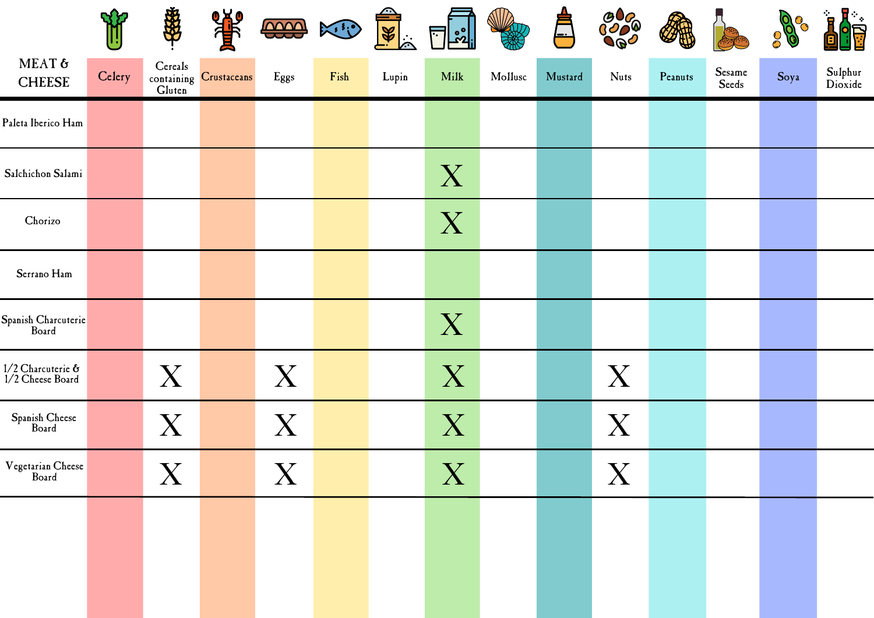|                                             | $\mathbf{R}$ | \$                      | 等                      | <b>COOO</b>           | $\mathbb{R}$ . | $\frac{1}{8}$ | ြို့<br>$\Box$ |         | ╞╧      | <b>3000</b><br><b>Oge</b> |         |                 | 0    | 見上<br>$\mathbf{R}$<br>È |
|---------------------------------------------|--------------|-------------------------|------------------------|-----------------------|----------------|---------------|----------------|---------|---------|---------------------------|---------|-----------------|------|-------------------------|
| MEAT &<br><b>CHEESE</b>                     | Celery       | Cereals<br>Gluten       | containing Crustaceans | Eggs                  | Fish           | Lupin         | Milk           | Mollusc | Mustard | <b>Nuts</b>               | Peanuts | Sesame<br>Seeds | Soya | Sulphur<br>Dioxide      |
| Paleta Iberico Ham                          |              |                         |                        |                       |                |               |                |         |         |                           |         |                 |      |                         |
| Salchichon Salami                           |              |                         |                        |                       |                |               | X              |         |         |                           |         |                 |      |                         |
| Chorizo                                     |              |                         |                        |                       |                |               | X              |         |         |                           |         |                 |      |                         |
| Serrano Ham                                 |              |                         |                        |                       |                |               |                |         |         |                           |         |                 |      |                         |
| Spanish Charcuterie                         |              |                         |                        |                       |                |               | X              |         |         |                           |         |                 |      |                         |
| $1/2$ Charcuterie $6$<br>$1/2$ Cheese Board |              | X                       |                        | X                     |                |               | X              |         |         | X                         |         |                 |      |                         |
| Spanish Cheese<br>Board                     |              | X                       |                        | X                     |                |               | X              |         |         | X                         |         |                 |      |                         |
| Vegetarian Cheese<br>Board                  |              | $\overline{\mathrm{X}}$ |                        | $\overline{\text{X}}$ |                |               | X              |         |         | $\boldsymbol{X}$          |         |                 |      |                         |
|                                             |              |                         |                        |                       |                |               |                |         |         |                           |         |                 |      |                         |
|                                             |              |                         |                        |                       |                |               |                |         |         |                           |         |                 |      |                         |
|                                             |              |                         |                        |                       |                |               |                |         |         |                           |         |                 |      |                         |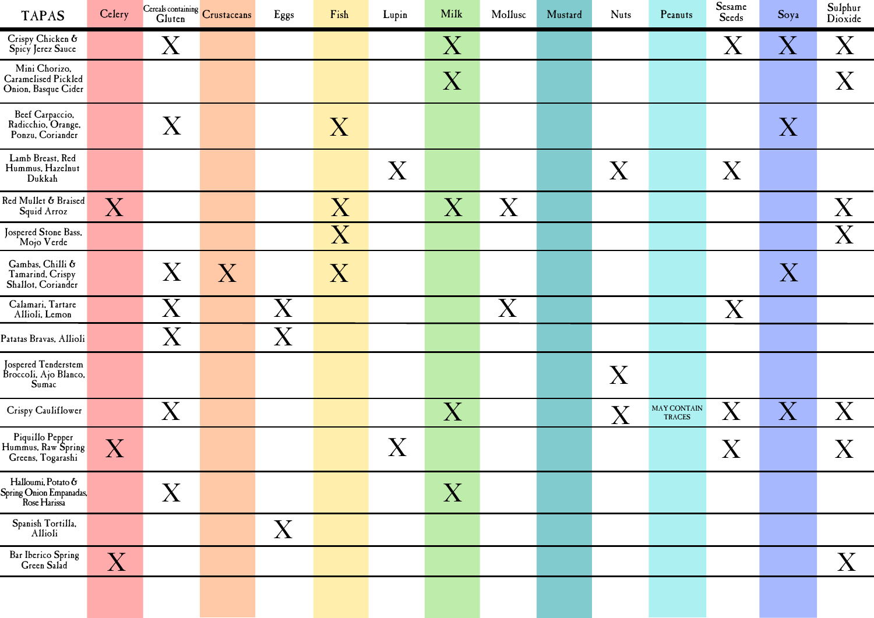| <b>TAPAS</b>                                                  | Celery      |                           | Cereals containing Crustaceans | Eggs                    | Fish | Lupin | Milk                      | Mollusc                   | Mustard | <b>Nuts</b> | Peanuts                                     | <b>Sesame</b><br>Seeds  | Soya      | Sulphur<br>Dioxide      |
|---------------------------------------------------------------|-------------|---------------------------|--------------------------------|-------------------------|------|-------|---------------------------|---------------------------|---------|-------------|---------------------------------------------|-------------------------|-----------|-------------------------|
| Crispy Chicken &<br>Spicy Jerez Sauce                         |             | $\rm X$                   |                                |                         |      |       | $\rm X$                   |                           |         |             |                                             | $\rm X$                 | ${\rm X}$ | $\overline{\mathrm{X}}$ |
| Mini Chorizo,<br>Caramelised Pickled<br>Onion, Basque Cider   |             |                           |                                |                         |      |       | $\boldsymbol{\mathrm{X}}$ |                           |         |             |                                             |                         |           | X                       |
| Beef Carpaccio,<br>Radicchio, Orange,<br>Ponzu, Coriander     |             | X                         |                                |                         | X    |       |                           |                           |         |             |                                             |                         | X         |                         |
| Lamb Breast, Red<br>Hummus, Hazelnut<br>Dukkah                |             |                           |                                |                         |      | X     |                           |                           |         | X           |                                             | X                       |           |                         |
| Red Mullet & Braised<br>Squid Arroz                           | X           |                           |                                |                         | X    |       | $\boldsymbol{\mathrm{X}}$ | $\boldsymbol{\mathrm{X}}$ |         |             |                                             |                         |           | X                       |
| Jospered Stone Bass,<br>Mojo Verde                            |             |                           |                                |                         | X    |       |                           |                           |         |             |                                             |                         |           | X                       |
| Gambas, Chilli &<br>Tamarind, Crispy<br>Shallot, Coriander    |             | $\boldsymbol{\mathrm{X}}$ | X                              |                         | X    |       |                           |                           |         |             |                                             |                         | X         |                         |
| Calamari, Tartare<br>Allioli, Lemon                           |             | $\rm X$                   |                                | $\overline{\mathrm{X}}$ |      |       |                           | X                         |         |             |                                             | X                       |           |                         |
| Patatas Bravas, Allioli                                       |             | $\rm X$                   |                                | X                       |      |       |                           |                           |         |             |                                             |                         |           |                         |
| Jospered Tenderstem<br>Broccoli, Ajo Blanco,<br>Sum'          |             |                           |                                |                         |      |       |                           |                           |         | X           |                                             |                         |           |                         |
| Crispy Cauliflower                                            |             | X                         |                                |                         |      |       | $\boldsymbol{\mathrm{X}}$ |                           |         | X           | $\mathop{\rm MAY}$ CONTAIN<br><b>TRACES</b> | $\overline{\mathrm{X}}$ | $\rm X$   | X                       |
| Piquillo Pepper<br>Hummus, Raw Spring<br>Greens, Togarashi    | $X_{\cdot}$ |                           |                                |                         |      | X     |                           |                           |         |             |                                             | $\rm X$                 |           | X                       |
| Halloumi, Potato &<br>Spring Onion Empanadas.<br>Rose Harissa |             | $\rm X$                   |                                |                         |      |       | X                         |                           |         |             |                                             |                         |           |                         |
| Spanish Tortilla,<br>Allioli                                  |             |                           |                                | X                       |      |       |                           |                           |         |             |                                             |                         |           |                         |
| Bar Iberico Spring<br>Green Salad                             | ${\rm X}$   |                           |                                |                         |      |       |                           |                           |         |             |                                             |                         |           | X                       |
|                                                               |             |                           |                                |                         |      |       |                           |                           |         |             |                                             |                         |           |                         |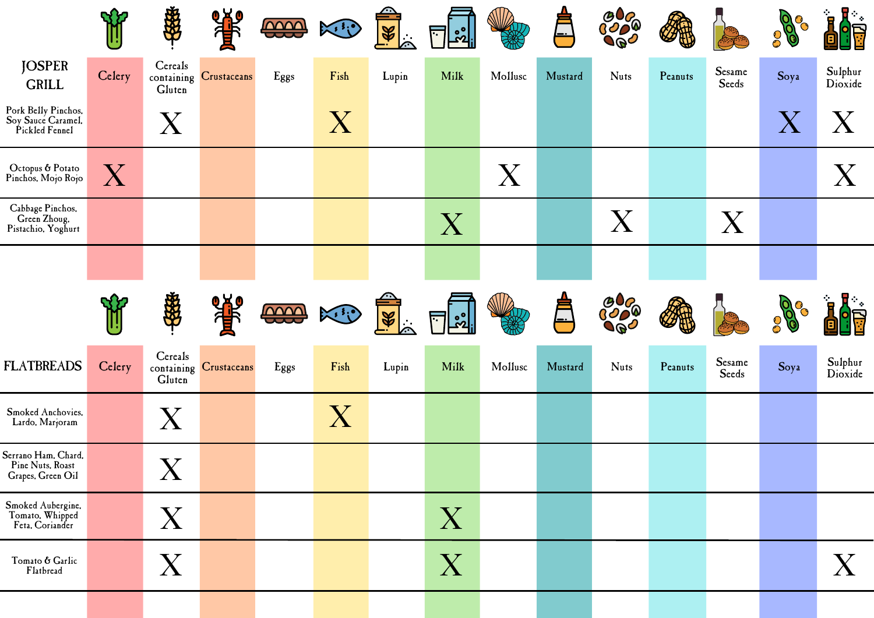|                                                              |           | \$                | 0 አይ                   | <b>COOO</b> | $\mathbb{K}^{\mathcal{E}}$ | $\frac{1}{\sqrt{2}}$    | <u>.ಜಿ</u>     |         |         | <b>ඉරිය</b><br>ග්රව<br><b>7BC</b> |         |                 | $\mathcal{S}$ | $\mathbf{F}_{\mathbf{z}}$ |
|--------------------------------------------------------------|-----------|-------------------|------------------------|-------------|----------------------------|-------------------------|----------------|---------|---------|-----------------------------------|---------|-----------------|---------------|---------------------------|
| <b>JOSPER</b><br><b>GRILL</b>                                | Celery    | Cereals<br>Gluten | containing Crustaceans | Eggs        | Fish                       | Lupin                   | Milk           | Mollusc | Mustard | <b>Nuts</b>                       | Peanuts | Sesame<br>Seeds | Soya          | Sulphur<br>Dioxide        |
| Pork Belly Pinchos,<br>Soy Sauce Caramel,<br>Pickled Fennel  |           | X                 |                        |             | $\rm X$                    |                         |                |         |         |                                   |         |                 |               |                           |
| Octopus & Potato<br>Pinchos, Mojo Rojo                       | ${\rm X}$ |                   |                        |             |                            |                         |                | X       |         |                                   |         |                 |               | $\boldsymbol{\mathrm{X}}$ |
| Cabbage Pinchos,<br>Green Zhoug,<br>Pistachio, Yoghurt       |           |                   |                        |             |                            |                         | X              |         |         | $\boldsymbol{\mathrm{X}}$         |         | X               |               |                           |
|                                                              |           |                   |                        |             |                            |                         |                |         |         |                                   |         |                 |               |                           |
|                                                              |           |                   | <b>OXO</b>             |             |                            |                         |                |         |         | <u>පරිදි</u>                      |         |                 |               |                           |
|                                                              |           | 海                 |                        | <b>DOOD</b> | $\mathbb{R}^3$             | $\frac{1}{\mathscr{C}}$ | ္ကိစ<br>$\sim$ |         |         | 100                               |         |                 |               |                           |
| <b>FLATBREADS</b>                                            | Celery    | Cereals<br>Gluten | containing Crustaceans | Eggs        | Fish                       | Lupin                   | Milk           | Mollusc | Mustard | <b>Nuts</b>                       | Peanuts | Sesame<br>Seeds | Soya          | Sulphur<br>Dioxide        |
| Smoked Anchovies,<br>Lardo, Marjoram                         |           | X                 |                        |             | $\rm X$                    |                         |                |         |         |                                   |         |                 |               |                           |
| Serrano Ham, Chard,<br>Pine Nuts, Roast<br>Grapes, Green Oil |           | X                 |                        |             |                            |                         |                |         |         |                                   |         |                 |               |                           |
| Smoked Aubergine,<br>Tomato, Whipped<br>Feta, Coriander      |           | X                 |                        |             |                            |                         | X              |         |         |                                   |         |                 |               |                           |
| Tomato & Garlic<br>Flatbread                                 |           | X                 |                        |             |                            |                         | X              |         |         |                                   |         |                 |               | X                         |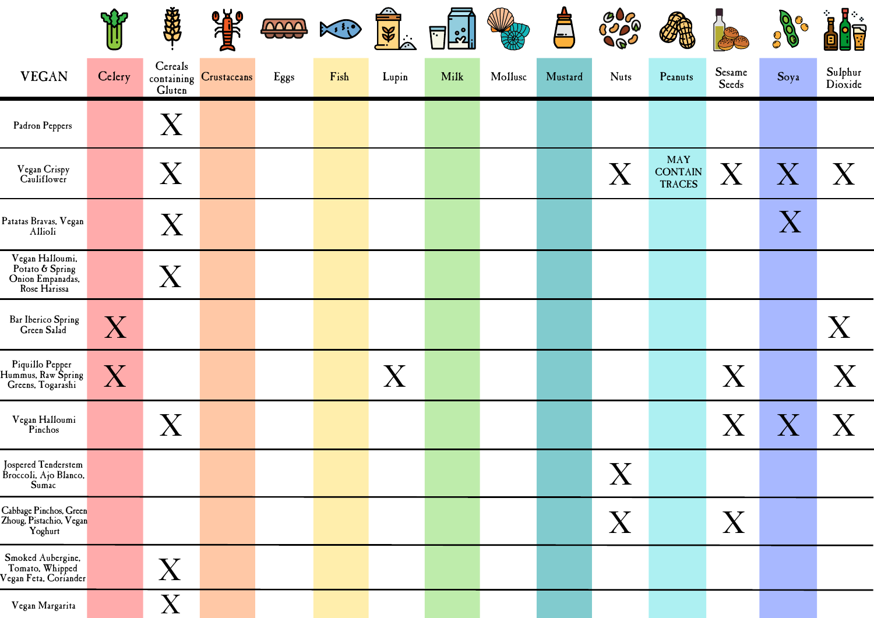|                                                                        |                           | 海外                        | 等                      | <b>COOO</b> | $\mathbb{X}^3$ | $\frac{1}{8}$ | ြို့<br>$\overline{\phantom{0}}$ |         | ├╌      | <b>9000</b><br>$\mathcal{P}^{\mathcal{Q}}$ |                                               |                           | ſΟ<br>$\mathcal{S}^1$<br>$\overline{\Theta}$ | $\mathbf{R}_{\pm}$<br>$\mathbf{r}$ |
|------------------------------------------------------------------------|---------------------------|---------------------------|------------------------|-------------|----------------|---------------|----------------------------------|---------|---------|--------------------------------------------|-----------------------------------------------|---------------------------|----------------------------------------------|------------------------------------|
| <b>VEGAN</b>                                                           | Celery                    | Cereals<br>Gluten         | containing Crustaceans | Eggs        | Fish           | Lupin         | Milk                             | Mollusc | Mustard | <b>Nuts</b>                                | Peanuts                                       | Sesame<br>Seeds           | Soya                                         | Sulphur<br>Dioxide                 |
| Padron Peppers                                                         |                           | $\rm X$                   |                        |             |                |               |                                  |         |         |                                            |                                               |                           |                                              |                                    |
| Vegan Crispy<br>Cauliflower                                            |                           | $\rm X$                   |                        |             |                |               |                                  |         |         | $\boldsymbol{\mathsf{X}}$                  | <b>MAY</b><br><b>CONTAIN</b><br><b>TRACES</b> | $\boldsymbol{\mathrm{X}}$ | $\boldsymbol{\mathrm{X}}$                    | X                                  |
| Patatas Bravas, Vegan<br>Allioli                                       |                           | $\rm X$                   |                        |             |                |               |                                  |         |         |                                            |                                               |                           | $\boldsymbol{\mathrm{X}}$                    |                                    |
| Vegan Halloumi,<br>Potato & Spring<br>Onion Empanadas,<br>Rose Harissa |                           | X                         |                        |             |                |               |                                  |         |         |                                            |                                               |                           |                                              |                                    |
| Bar Iberico Spring<br>Green Salad                                      | $\boldsymbol{\mathrm{X}}$ |                           |                        |             |                |               |                                  |         |         |                                            |                                               |                           |                                              | X                                  |
| Piquillo Pepper<br>Hummus, Raw Spring<br>Greens, Togarashi             | $\rm X$                   |                           |                        |             |                | X             |                                  |         |         |                                            |                                               | X                         |                                              | $\boldsymbol{\mathrm{X}}$          |
| Vegan Halloumi<br>Pinchos                                              |                           | $\boldsymbol{\mathrm{X}}$ |                        |             |                |               |                                  |         |         |                                            |                                               | $\rm X$                   |                                              | X                                  |
| Jospered Tenderstem<br>Broccoli, Ajo Blanco,<br>Sumac                  |                           |                           |                        |             |                |               |                                  |         |         | $\boldsymbol{X}$                           |                                               |                           |                                              |                                    |
| Cabbage Pinchos, Green<br>Zhoug, Pistachio, Vegan<br>Yoghurt           |                           |                           |                        |             |                |               |                                  |         |         | X                                          |                                               | X                         |                                              |                                    |
| Smoked Aubergine,<br>Tomato, Whipped<br>Vegan Feta, Coriander          |                           | $\boldsymbol{\mathrm{X}}$ |                        |             |                |               |                                  |         |         |                                            |                                               |                           |                                              |                                    |
| Vegan Margarita                                                        |                           | $\rm X$                   |                        |             |                |               |                                  |         |         |                                            |                                               |                           |                                              |                                    |